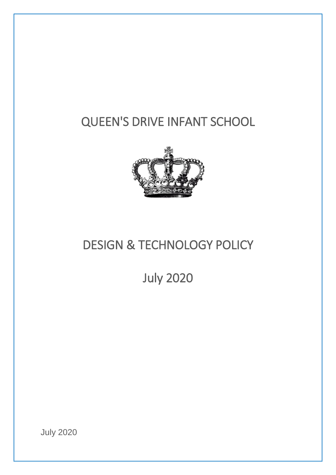# QUEEN'S DRIVE INFANT SCHOOL



# DESIGN & TECHNOLOGY POLICY

July 2020

July 2020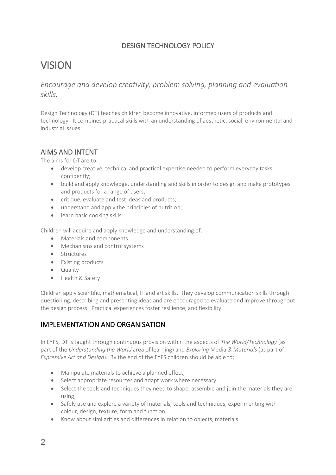# DESIGN TECHNOLOGY POLICY

# VISION

*Encourage and develop creativity, problem solving, planning and evaluation skills.*

Design Technology (DT) teaches children become innovative, informed users of products and technology. It combines practical skills with an understanding of aesthetic, social, environmental and industrial issues.

## AIMS AND INTENT

The aims for DT are to:

- develop creative, technical and practical expertise needed to perform everyday tasks confidently;
- build and apply knowledge, understanding and skills in order to design and make prototypes and products for a range of users;
- critique, evaluate and test ideas and products;
- understand and apply the principles of nutrition;
- learn basic cooking skills.

Children will acquire and apply knowledge and understanding of:

- Materials and components
- Mechanisms and control systems
- Structures
- Existing products
- Quality
- Health & Safety

Children apply scientific, mathematical, IT and art skills. They develop communication skills through questioning, describing and presenting ideas and are encouraged to evaluate and improve throughout the design process. Practical experiences foster resilience, and flexibility.

# IMPLEMENTATION AND ORGANISATION

In EYFS, DT is taught through continuous provision within the aspects of *The World/Technology* (as part of the *Understanding the World* area of learning) and *Exploring* Media *& Materials* (as part of *Expressive Art and Design*). By the end of the EYFS children should be able to;

- Manipulate materials to achieve a planned effect;
- Select appropriate resources and adapt work where necessary.
- Select the tools and techniques they need to shape, assemble and join the materials they are using;
- Safely use and explore a variety of materials, tools and techniques, experimenting with colour, design, texture, form and function.
- Know about similarities and differences in relation to objects, materials.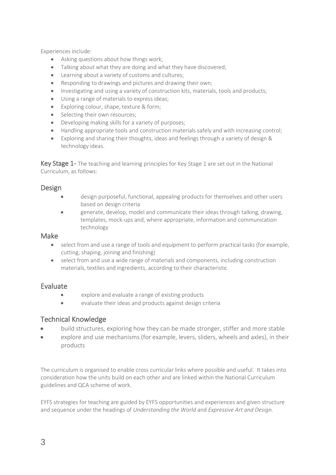Experiences include:

- Asking questions about how things work;
- Talking about what they are doing and what they have discovered;
- Learning about a variety of customs and cultures;
- Responding to drawings and pictures and drawing their own;
- Investigating and using a variety of construction kits, materials, tools and products;
- Using a range of materials to express ideas;
- Exploring colour, shape, texture & form;
- Selecting their own resources;
- Developing making skills for a variety of purposes;
- Handling appropriate tools and construction materials safely and with increasing control;
- Exploring and sharing their thoughts, ideas and feelings through a variety of design & technology ideas.

Key Stage 1- The teaching and learning principles for Key Stage 1 are set out in the National Curriculum, as follows:

#### **Design**

- design purposeful, functional, appealing products for themselves and other users based on design criteria
- generate, develop, model and communicate their ideas through talking, drawing, templates, mock-ups and, where appropriate, information and communication technology

#### Make

- select from and use a range of tools and equipment to perform practical tasks (for example, cutting, shaping, joining and finishing)
- select from and use a wide range of materials and components, including construction materials, textiles and ingredients, according to their characteristic

#### Evaluate

- explore and evaluate a range of existing products
- evaluate their ideas and products against design criteria

### Technical Knowledge

- build structures, exploring how they can be made stronger, stiffer and more stable
- explore and use mechanisms (for example, levers, sliders, wheels and axles), in their products

The curriculum is organised to enable cross curricular links where possible and useful. It takes into consideration how the units build on each other and are linked within the National Curriculum guidelines and QCA scheme of work.

EYFS strategies for teaching are guided by EYFS opportunities and experiences and given structure and sequence under the headings of *Understanding the World* and *Expressive Art and Design.*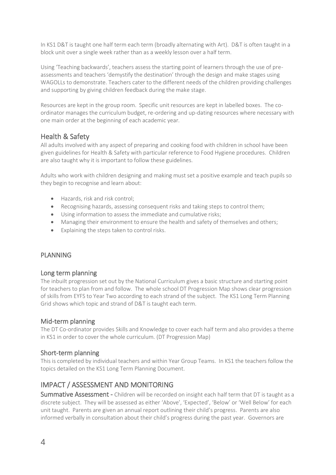In KS1 D&T is taught one half term each term (broadly alternating with Art). D&T is often taught in a block unit over a single week rather than as a weekly lesson over a half term.

Using 'Teaching backwards', teachers assess the starting point of learners through the use of preassessments and teachers 'demystify the destination' through the design and make stages using WAGOLLs to demonstrate. Teachers cater to the different needs of the children providing challenges and supporting by giving children feedback during the make stage.

Resources are kept in the group room. Specific unit resources are kept in labelled boxes. The coordinator manages the curriculum budget, re-ordering and up-dating resources where necessary with one main order at the beginning of each academic year.

### Health & Safety

All adults involved with any aspect of preparing and cooking food with children in school have been given guidelines for Health & Safety with particular reference to Food Hygiene procedures. Children are also taught why it is important to follow these guidelines.

Adults who work with children designing and making must set a positive example and teach pupils so they begin to recognise and learn about:

- Hazards, risk and risk control;
- Recognising hazards, assessing consequent risks and taking steps to control them;
- Using information to assess the immediate and cumulative risks;
- Managing their environment to ensure the health and safety of themselves and others;
- Explaining the steps taken to control risks.

#### PLANNING

#### Long term planning

The inbuilt progression set out by the National Curriculum gives a basic structure and starting point for teachers to plan from and follow. The whole school DT Progression Map shows clear progression of skills from EYFS to Year Two according to each strand of the subject. The KS1 Long Term Planning Grid shows which topic and strand of D&T is taught each term.

#### Mid-term planning

The DT Co-ordinator provides Skills and Knowledge to cover each half term and also provides a theme in KS1 in order to cover the whole curriculum. (DT Progression Map)

#### Short-term planning

This is completed by individual teachers and within Year Group Teams. In KS1 the teachers follow the topics detailed on the KS1 Long Term Planning Document.

# IMPACT / ASSESSMENT AND MONITORING

Summative Assessment - Children will be recorded on insight each half term that DT is taught as a discrete subject. They will be assessed as either 'Above', 'Expected', 'Below' or 'Well Below' for each unit taught. Parents are given an annual report outlining their child's progress. Parents are also informed verbally in consultation about their child's progress during the past year. Governors are